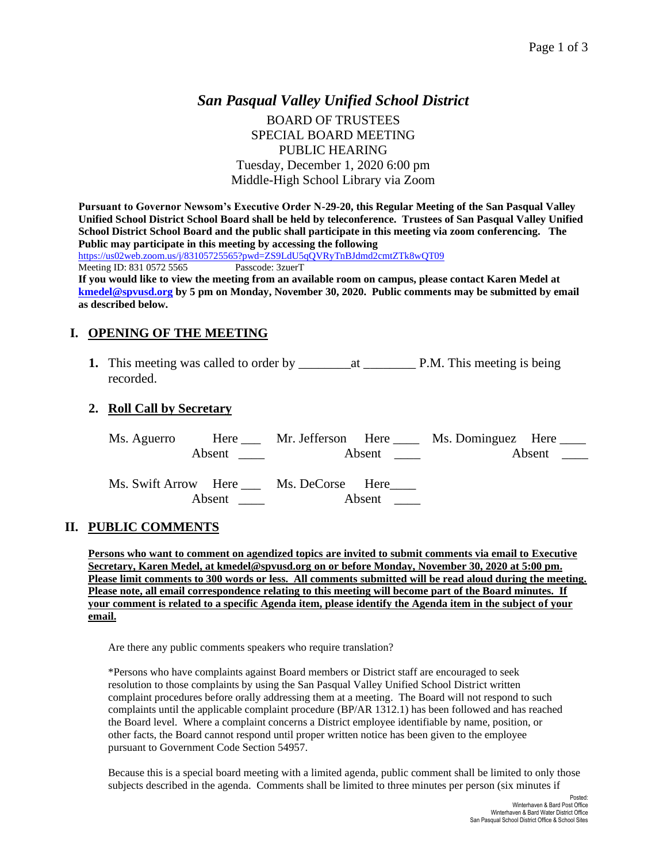# *San Pasqual Valley Unified School District* BOARD OF TRUSTEES SPECIAL BOARD MEETING PUBLIC HEARING Tuesday, December 1, 2020 6:00 pm Middle-High School Library via Zoom

**Pursuant to Governor Newsom's Executive Order N-29-20, this Regular Meeting of the San Pasqual Valley Unified School District School Board shall be held by teleconference. Trustees of San Pasqual Valley Unified School District School Board and the public shall participate in this meeting via zoom conferencing. The Public may participate in this meeting by accessing the following**  <https://us02web.zoom.us/j/83105725565?pwd=ZS9LdU5qQVRyTnBJdmd2cmtZTk8wQT09> Meeting ID: 831 0572 5565 Passcode: 3zuerT **If you would like to view the meeting from an available room on campus, please contact Karen Medel at [kmedel@spvusd.org](mailto:kmedel@spvusd.org) by 5 pm on Monday, November 30, 2020. Public comments may be submitted by email** 

**as described below.** 

## **I. OPENING OF THE MEETING**

**1.** This meeting was called to order by \_\_\_\_\_\_\_\_at \_\_\_\_\_\_\_\_ P.M. This meeting is being recorded.

#### **2. Roll Call by Secretary**

|        |                                       | Absent $\qquad \qquad \qquad$ | Ms. Aguerro Here Mr. Jefferson Here Ms. Dominguez Here |  |
|--------|---------------------------------------|-------------------------------|--------------------------------------------------------|--|
| Absent | Ms. Swift Arrow Here Ms. DeCorse Here | Absent                        |                                                        |  |

#### **II. PUBLIC COMMENTS**

**Persons who want to comment on agendized topics are invited to submit comments via email to Executive Secretary, Karen Medel, at kmedel@spvusd.org on or before Monday, November 30, 2020 at 5:00 pm. Please limit comments to 300 words or less. All comments submitted will be read aloud during the meeting. Please note, all email correspondence relating to this meeting will become part of the Board minutes. If your comment is related to a specific Agenda item, please identify the Agenda item in the subject of your email.**

Are there any public comments speakers who require translation?

\*Persons who have complaints against Board members or District staff are encouraged to seek resolution to those complaints by using the San Pasqual Valley Unified School District written complaint procedures before orally addressing them at a meeting. The Board will not respond to such complaints until the applicable complaint procedure (BP/AR 1312.1) has been followed and has reached the Board level. Where a complaint concerns a District employee identifiable by name, position, or other facts, the Board cannot respond until proper written notice has been given to the employee pursuant to Government Code Section 54957.

Because this is a special board meeting with a limited agenda, public comment shall be limited to only those subjects described in the agenda. Comments shall be limited to three minutes per person (six minutes if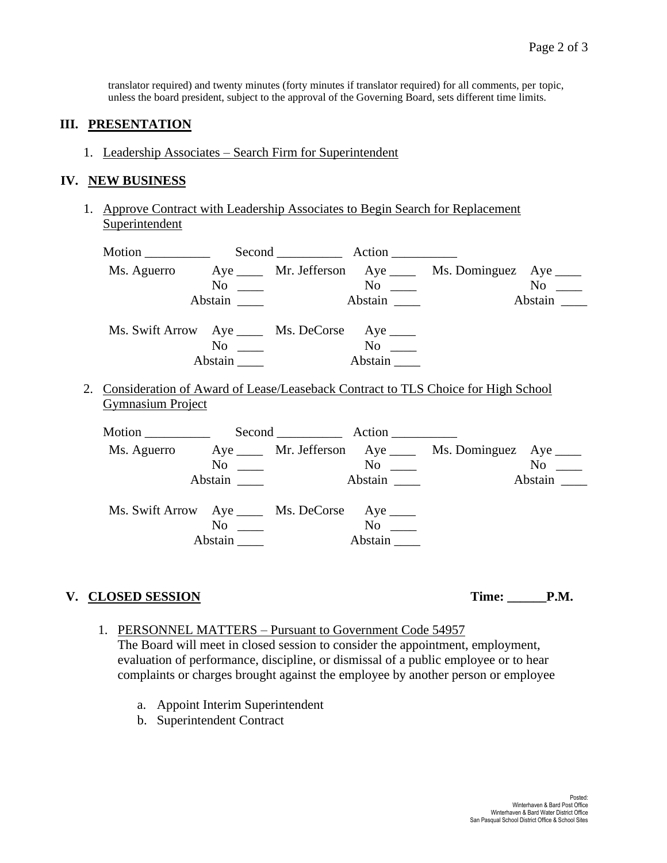translator required) and twenty minutes (forty minutes if translator required) for all comments, per topic, unless the board president, subject to the approval of the Governing Board, sets different time limits.

### **III. PRESENTATION**

1. Leadership Associates – Search Firm for Superintendent

### **IV. NEW BUSINESS**

1. Approve Contract with Leadership Associates to Begin Search for Replacement Superintendent

|                          |                                                |                                                 |         | Ms. Aguerro Aye ____ Mr. Jefferson Aye ____ Ms. Dominguez Aye ____                  |           |
|--------------------------|------------------------------------------------|-------------------------------------------------|---------|-------------------------------------------------------------------------------------|-----------|
|                          | $No \ \_$                                      |                                                 |         |                                                                                     | $No \t —$ |
|                          | Abstain                                        |                                                 |         |                                                                                     | Abstain   |
|                          | Ms. Swift Arrow Aye _____ Ms. DeCorse Aye ____ |                                                 |         |                                                                                     |           |
|                          | $No \ \_$                                      |                                                 |         |                                                                                     |           |
|                          | Abstain                                        |                                                 | Abstain |                                                                                     |           |
| <b>Gymnasium Project</b> |                                                |                                                 |         | 2. Consideration of Award of Lease/Leaseback Contract to TLS Choice for High School |           |
|                          |                                                |                                                 |         |                                                                                     |           |
|                          |                                                |                                                 |         | Ms. Aguerro Aye _____ Mr. Jefferson Aye _____ Ms. Dominguez Aye ____                |           |
|                          | $No \ \_$                                      | $\overline{\text{No}}$ $\overline{\phantom{0}}$ |         |                                                                                     | $No \t —$ |
|                          | Abstain                                        |                                                 | Abstain |                                                                                     | Abstain   |
|                          |                                                |                                                 |         |                                                                                     |           |

| Ms. Swift Arrow Aye |         | Ms. DeCorse Aye |                |  |
|---------------------|---------|-----------------|----------------|--|
|                     | Nο      |                 | N <sub>0</sub> |  |
|                     | Abstain |                 | Abstain        |  |
|                     |         |                 |                |  |

## **V. CLOSED SESSION Time: \_\_\_\_\_\_P.M.**

- 1. PERSONNEL MATTERS Pursuant to Government Code 54957 The Board will meet in closed session to consider the appointment, employment, evaluation of performance, discipline, or dismissal of a public employee or to hear complaints or charges brought against the employee by another person or employee
	- a. Appoint Interim Superintendent
	- b. Superintendent Contract